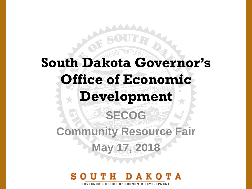## **South Dakota Governor's Office of Economic Development SECOG Community Resource Fair May 17, 2018**

**GOVERNOR'S OFFICE OF ECONOMIC DEVELOPMENT**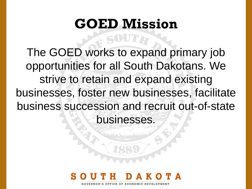## **GOED Mission**

The GOED works to expand primary job opportunities for all South Dakotans. We strive to retain and expand existing businesses, foster new businesses, facilitate business succession and recruit out-of-state businesses.

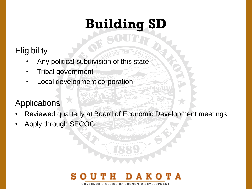## **Building SD**

### **Eligibility**

- Any political subdivision of this state
- Tribal government
- Local development corporation

### Applications

- Reviewed quarterly at Board of Economic Development meetings
- Apply through SECOG

#### TA VERNOR'S OFFICE OF ECONOMIC DEVELOPMEN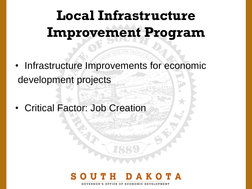## **Local Infrastructure Improvement Program**

- Infrastructure Improvements for economic development projects
- Critical Factor: Job Creation

## ERNOR'S OFFICE OF ECONOMIC DEVELOPMEN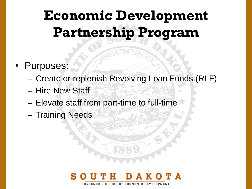## **Economic Development Partnership Program**

- Purposes:
	- Create or replenish Revolving Loan Funds (RLF)
	- Hire New Staff
	- Elevate staff from part-time to full-time
	- Training Needs

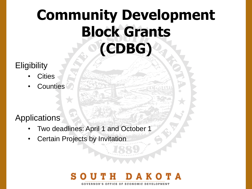## **Community Development Block Grants (CDBG)**

#### **Eligibility**

- **Cities**
- **Counties**

#### Applications

- Two deadlines: April 1 and October 1
- **Certain Projects by Invitation**

#### O T A **GOVERNOR'S OFFICE OF ECONOMIC DEVELOPMENT**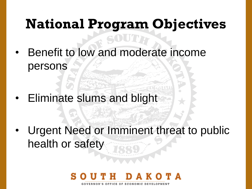# **National Program Objectives**

• Benefit to low and moderate income persons

• Eliminate slums and blight

• Urgent Need or Imminent threat to public health or safety

## RNOR'S OFFICE OF ECONOMIC DEVELOPMEN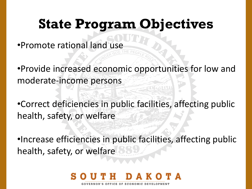## **State Program Objectives**

•Promote rational land use

•Provide increased economic opportunities for low and moderate-income persons

•Correct deficiencies in public facilities, affecting public health, safety, or welfare

•Increase efficiencies in public facilities, affecting public health, safety, or welfare

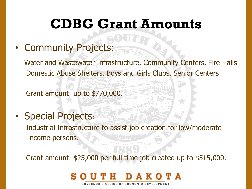## **CDBG Grant Amounts**

• Community Projects:

Water and Wastewater Infrastructure, Community Centers, Fire Halls Domestic Abuse Shelters, Boys and Girls Clubs, Senior Centers

Grant amount: up to \$770,000.

• Special Projects: Industrial Infrastructure to assist job creation for low/moderate income persons.

Grant amount: \$25,000 per full time job created up to \$515,000.